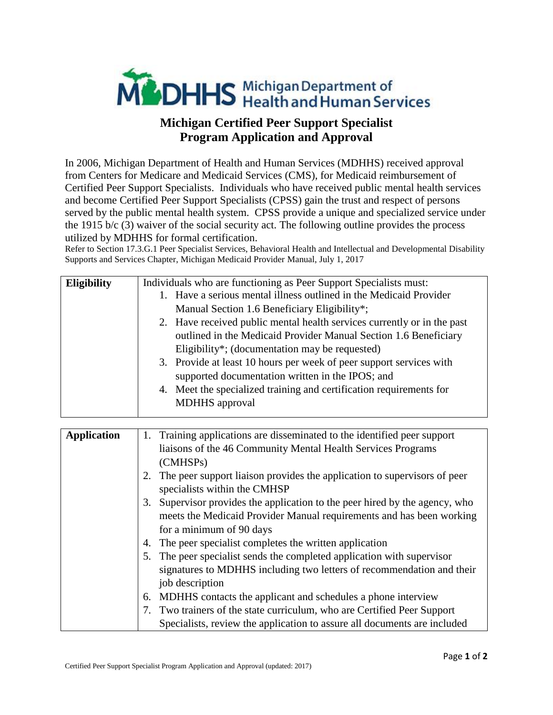

## **Michigan Certified Peer Support Specialist Program Application and Approval**

In 2006, Michigan Department of Health and Human Services (MDHHS) received approval from Centers for Medicare and Medicaid Services (CMS), for Medicaid reimbursement of Certified Peer Support Specialists. Individuals who have received public mental health services and become Certified Peer Support Specialists (CPSS) gain the trust and respect of persons served by the public mental health system. CPSS provide a unique and specialized service under the 1915 b/c (3) waiver of the social security act. The following outline provides the process utilized by MDHHS for formal certification.

Refer to Section 17.3.G.1 Peer Specialist Services, Behavioral Health and Intellectual and Developmental Disability Supports and Services Chapter, Michigan Medicaid Provider Manual, July 1, 2017

| <b>Eligibility</b> | Individuals who are functioning as Peer Support Specialists must:       |
|--------------------|-------------------------------------------------------------------------|
|                    | 1. Have a serious mental illness outlined in the Medicaid Provider      |
|                    | Manual Section 1.6 Beneficiary Eligibility*;                            |
|                    | 2. Have received public mental health services currently or in the past |
|                    | outlined in the Medicaid Provider Manual Section 1.6 Beneficiary        |
|                    | Eligibility*; (documentation may be requested)                          |
|                    | 3. Provide at least 10 hours per week of peer support services with     |
|                    | supported documentation written in the IPOS; and                        |
|                    | 4. Meet the specialized training and certification requirements for     |
|                    | <b>MDHHS</b> approval                                                   |
|                    |                                                                         |

| <b>Application</b> | 1. Training applications are disseminated to the identified peer support                                 |
|--------------------|----------------------------------------------------------------------------------------------------------|
|                    | liaisons of the 46 Community Mental Health Services Programs                                             |
|                    | (CMHSP <sub>s</sub> )                                                                                    |
|                    | The peer support liaison provides the application to supervisors of peer<br>specialists within the CMHSP |
|                    | Supervisor provides the application to the peer hired by the agency, who<br>3.                           |
|                    | meets the Medicaid Provider Manual requirements and has been working                                     |
|                    | for a minimum of 90 days                                                                                 |
|                    | The peer specialist completes the written application                                                    |
|                    | 5. The peer specialist sends the completed application with supervisor                                   |
|                    | signatures to MDHHS including two letters of recommendation and their                                    |
|                    | job description                                                                                          |
|                    | MDHHS contacts the applicant and schedules a phone interview<br>6.                                       |
|                    | Two trainers of the state curriculum, who are Certified Peer Support                                     |
|                    | Specialists, review the application to assure all documents are included                                 |